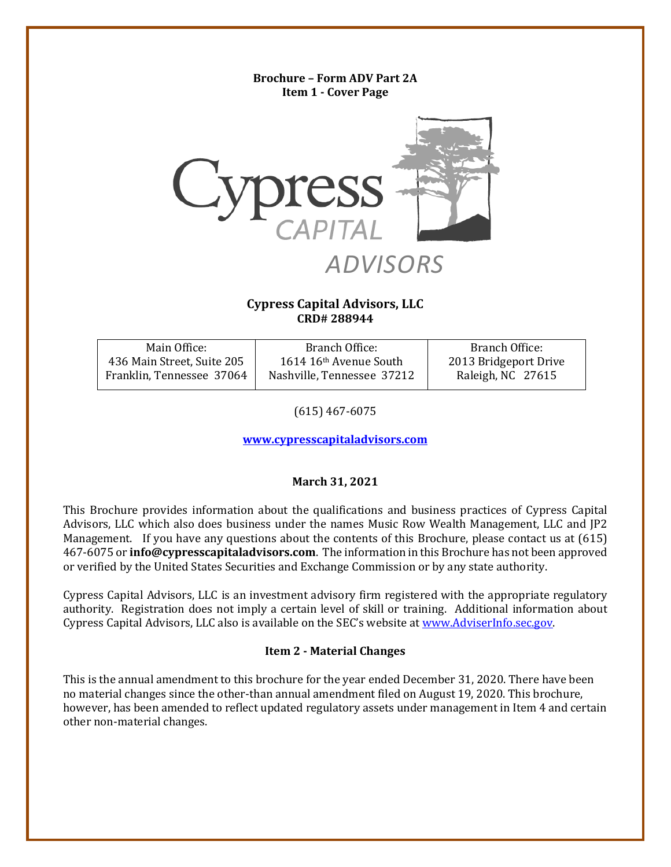# <span id="page-0-0"></span>**Brochure – Form ADV Part 2A Item 1 - Cover Page** *ADVISORS* **Cypress Capital Advisors, LLC CRD# 288944**

| Main Office:               | Branch Office:             | Branch Office:        |
|----------------------------|----------------------------|-----------------------|
| 436 Main Street, Suite 205 | 1614 16th Avenue South     | 2013 Bridgeport Drive |
| Franklin, Tennessee 37064  | Nashville, Tennessee 37212 | Raleigh, NC 27615     |

(615) 467-6075

**[www.cypresscapitaladvisors.com](http://www.cypresscapitaladvisors.com/)**

# **March 31, 2021**

This Brochure provides information about the qualifications and business practices of Cypress Capital Advisors, LLC which also does business under the names Music Row Wealth Management, LLC and JP2 Management. If you have any questions about the contents of this Brochure, please contact us at (615) 467-6075 or **info@cypresscapitaladvisors.com**. The information in this Brochure has not been approved or verified by the United States Securities and Exchange Commission or by any state authority.

Cypress Capital Advisors, LLC is an investment advisory firm registered with the appropriate regulatory authority. Registration does not imply a certain level of skill or training. Additional information about Cypress Capital Advisors, LLC also is available on the SEC's website at [www.AdviserInfo.sec.gov.](http://www.adviserinfo.sec.gov/)

# **Item 2 - Material Changes**

<span id="page-0-1"></span>This is the annual amendment to this brochure for the year ended December 31, 2020. There have been no material changes since the other-than annual amendment filed on August 19, 2020. This brochure, however, has been amended to reflect updated regulatory assets under management in Item 4 and certain other non-material changes.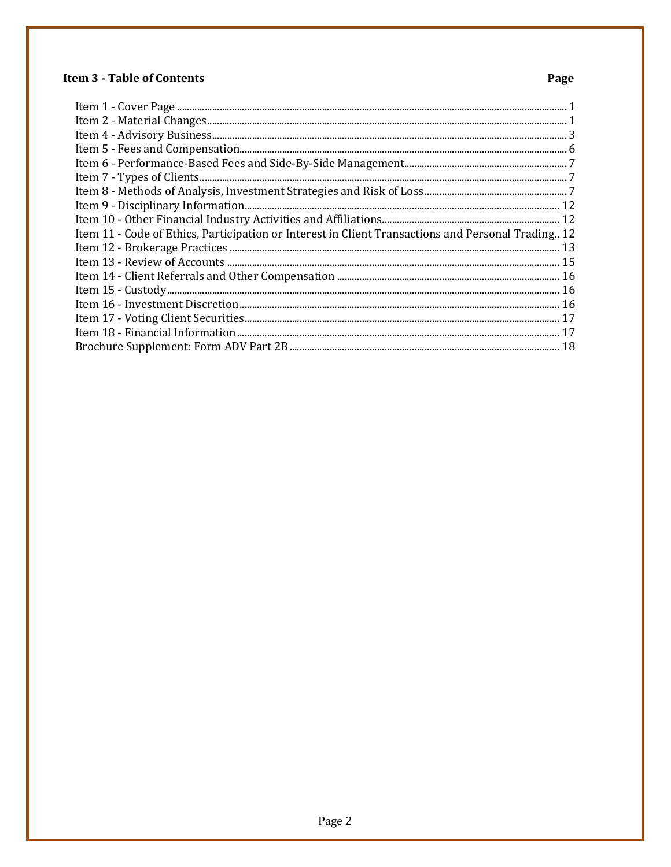# **Item 3 - Table of Contents**

# Page

| $\begin{minipage}{0.9\linewidth} \textbf{Item 1 - Cover Page} \textbf{} \end{minipage} \begin{minipage}{0.9\linewidth} \textbf{Item 2 - Material Changes} \end{minipage} \begin{minipage}{0.9\linewidth} \textbf{Item 4 - Advisory Business} \end{minipage} \begin{minipage}{0.9\linewidth} \textbf{Item 4 - Advisory Business} \end{minipage} \begin{minipage}{0.9\linewidth} \textbf{Item 4 - Advisory Business} \end{minipage} \begin{minipage}{0.9\linewidth} \textbf{Item 4 - Advisory Business} \end{minipage} \begin{minipage}{0.9\linewidth} \textbf{Item 4$ |
|----------------------------------------------------------------------------------------------------------------------------------------------------------------------------------------------------------------------------------------------------------------------------------------------------------------------------------------------------------------------------------------------------------------------------------------------------------------------------------------------------------------------------------------------------------------------|
|                                                                                                                                                                                                                                                                                                                                                                                                                                                                                                                                                                      |
|                                                                                                                                                                                                                                                                                                                                                                                                                                                                                                                                                                      |
|                                                                                                                                                                                                                                                                                                                                                                                                                                                                                                                                                                      |
|                                                                                                                                                                                                                                                                                                                                                                                                                                                                                                                                                                      |
|                                                                                                                                                                                                                                                                                                                                                                                                                                                                                                                                                                      |
|                                                                                                                                                                                                                                                                                                                                                                                                                                                                                                                                                                      |
| Item 11 - Code of Ethics, Participation or Interest in Client Transactions and Personal Trading 12                                                                                                                                                                                                                                                                                                                                                                                                                                                                   |
|                                                                                                                                                                                                                                                                                                                                                                                                                                                                                                                                                                      |
|                                                                                                                                                                                                                                                                                                                                                                                                                                                                                                                                                                      |
|                                                                                                                                                                                                                                                                                                                                                                                                                                                                                                                                                                      |
|                                                                                                                                                                                                                                                                                                                                                                                                                                                                                                                                                                      |
|                                                                                                                                                                                                                                                                                                                                                                                                                                                                                                                                                                      |
|                                                                                                                                                                                                                                                                                                                                                                                                                                                                                                                                                                      |
|                                                                                                                                                                                                                                                                                                                                                                                                                                                                                                                                                                      |
|                                                                                                                                                                                                                                                                                                                                                                                                                                                                                                                                                                      |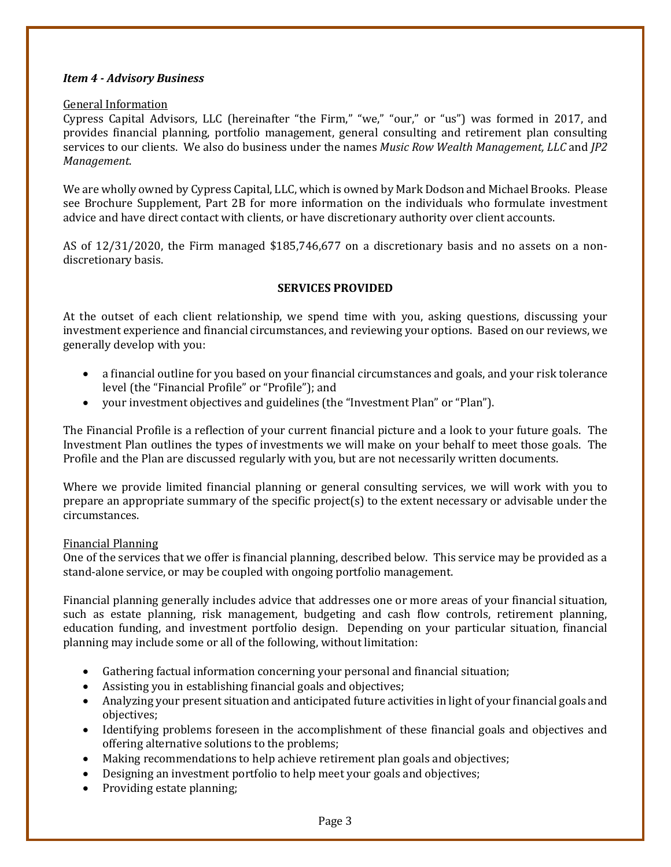# <span id="page-2-0"></span>*Item 4 - Advisory Business*

#### General Information

Cypress Capital Advisors, LLC (hereinafter "the Firm," "we," "our," or "us") was formed in 2017, and provides financial planning, portfolio management, general consulting and retirement plan consulting services to our clients. We also do business under the names *Music Row Wealth Management, LLC* and *JP2 Management*.

We are wholly owned by Cypress Capital, LLC, which is owned by Mark Dodson and Michael Brooks. Please see Brochure Supplement, Part 2B for more information on the individuals who formulate investment advice and have direct contact with clients, or have discretionary authority over client accounts.

AS of 12/31/2020, the Firm managed \$185,746,677 on a discretionary basis and no assets on a nondiscretionary basis.

# **SERVICES PROVIDED**

At the outset of each client relationship, we spend time with you, asking questions, discussing your investment experience and financial circumstances, and reviewing your options. Based on our reviews, we generally develop with you:

- a financial outline for you based on your financial circumstances and goals, and your risk tolerance level (the "Financial Profile" or "Profile"); and
- your investment objectives and guidelines (the "Investment Plan" or "Plan").

The Financial Profile is a reflection of your current financial picture and a look to your future goals. The Investment Plan outlines the types of investments we will make on your behalf to meet those goals. The Profile and the Plan are discussed regularly with you, but are not necessarily written documents.

Where we provide limited financial planning or general consulting services, we will work with you to prepare an appropriate summary of the specific project(s) to the extent necessary or advisable under the circumstances.

# Financial Planning

One of the services that we offer is financial planning, described below. This service may be provided as a stand-alone service, or may be coupled with ongoing portfolio management.

Financial planning generally includes advice that addresses one or more areas of your financial situation, such as estate planning, risk management, budgeting and cash flow controls, retirement planning, education funding, and investment portfolio design. Depending on your particular situation, financial planning may include some or all of the following, without limitation:

- Gathering factual information concerning your personal and financial situation;
- Assisting you in establishing financial goals and objectives;
- Analyzing your present situation and anticipated future activities in light of your financial goals and objectives;
- Identifying problems foreseen in the accomplishment of these financial goals and objectives and offering alternative solutions to the problems;
- Making recommendations to help achieve retirement plan goals and objectives;
- Designing an investment portfolio to help meet your goals and objectives;
- Providing estate planning;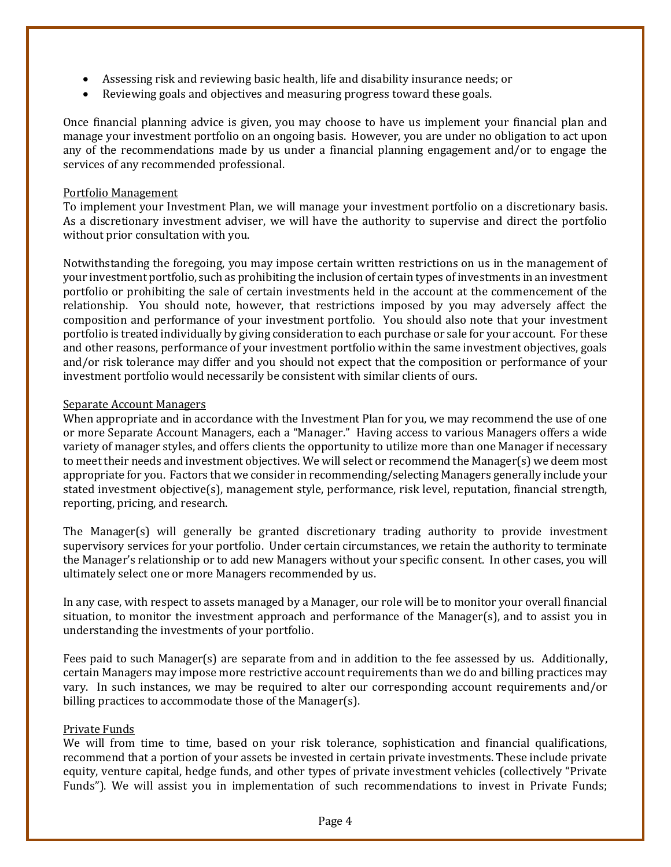- Assessing risk and reviewing basic health, life and disability insurance needs; or
- Reviewing goals and objectives and measuring progress toward these goals.

Once financial planning advice is given, you may choose to have us implement your financial plan and manage your investment portfolio on an ongoing basis. However, you are under no obligation to act upon any of the recommendations made by us under a financial planning engagement and/or to engage the services of any recommended professional.

#### Portfolio Management

To implement your Investment Plan, we will manage your investment portfolio on a discretionary basis. As a discretionary investment adviser, we will have the authority to supervise and direct the portfolio without prior consultation with you.

Notwithstanding the foregoing, you may impose certain written restrictions on us in the management of your investment portfolio, such as prohibiting the inclusion of certain types of investments in an investment portfolio or prohibiting the sale of certain investments held in the account at the commencement of the relationship. You should note, however, that restrictions imposed by you may adversely affect the composition and performance of your investment portfolio. You should also note that your investment portfolio is treated individually by giving consideration to each purchase or sale for your account. For these and other reasons, performance of your investment portfolio within the same investment objectives, goals and/or risk tolerance may differ and you should not expect that the composition or performance of your investment portfolio would necessarily be consistent with similar clients of ours.

#### Separate Account Managers

When appropriate and in accordance with the Investment Plan for you, we may recommend the use of one or more Separate Account Managers, each a "Manager." Having access to various Managers offers a wide variety of manager styles, and offers clients the opportunity to utilize more than one Manager if necessary to meet their needs and investment objectives. We will select or recommend the Manager(s) we deem most appropriate for you. Factors that we consider in recommending/selecting Managers generally include your stated investment objective(s), management style, performance, risk level, reputation, financial strength, reporting, pricing, and research.

The Manager(s) will generally be granted discretionary trading authority to provide investment supervisory services for your portfolio. Under certain circumstances, we retain the authority to terminate the Manager's relationship or to add new Managers without your specific consent. In other cases, you will ultimately select one or more Managers recommended by us.

In any case, with respect to assets managed by a Manager, our role will be to monitor your overall financial situation, to monitor the investment approach and performance of the Manager(s), and to assist you in understanding the investments of your portfolio.

Fees paid to such Manager(s) are separate from and in addition to the fee assessed by us. Additionally, certain Managers may impose more restrictive account requirements than we do and billing practices may vary. In such instances, we may be required to alter our corresponding account requirements and/or billing practices to accommodate those of the Manager(s).

# Private Funds

We will from time to time, based on your risk tolerance, sophistication and financial qualifications, recommend that a portion of your assets be invested in certain private investments. These include private equity, venture capital, hedge funds, and other types of private investment vehicles (collectively "Private Funds"). We will assist you in implementation of such recommendations to invest in Private Funds;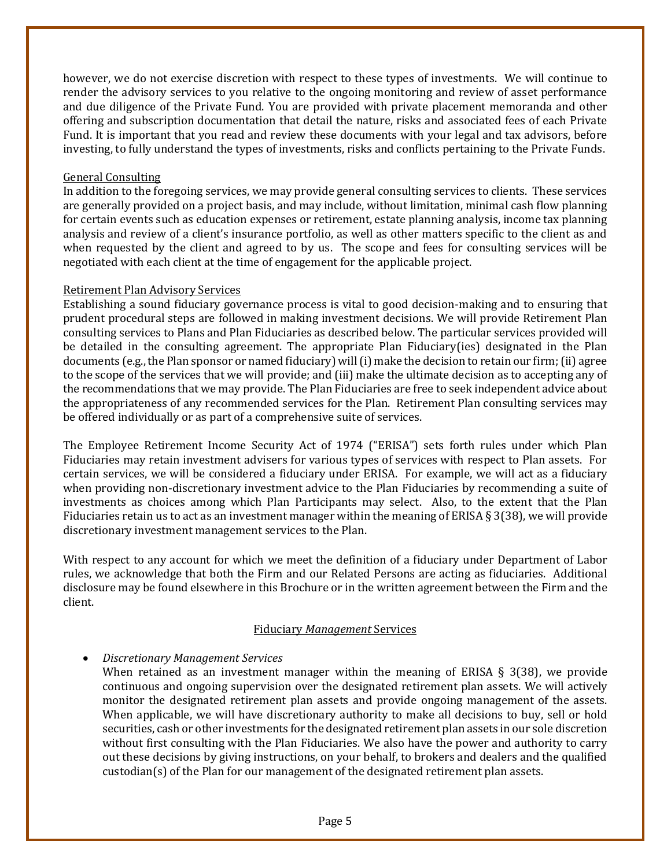however, we do not exercise discretion with respect to these types of investments. We will continue to render the advisory services to you relative to the ongoing monitoring and review of asset performance and due diligence of the Private Fund. You are provided with private placement memoranda and other offering and subscription documentation that detail the nature, risks and associated fees of each Private Fund. It is important that you read and review these documents with your legal and tax advisors, before investing, to fully understand the types of investments, risks and conflicts pertaining to the Private Funds.

#### General Consulting

In addition to the foregoing services, we may provide general consulting services to clients. These services are generally provided on a project basis, and may include, without limitation, minimal cash flow planning for certain events such as education expenses or retirement, estate planning analysis, income tax planning analysis and review of a client's insurance portfolio, as well as other matters specific to the client as and when requested by the client and agreed to by us. The scope and fees for consulting services will be negotiated with each client at the time of engagement for the applicable project.

# Retirement Plan Advisory Services

Establishing a sound fiduciary governance process is vital to good decision-making and to ensuring that prudent procedural steps are followed in making investment decisions. We will provide Retirement Plan consulting services to Plans and Plan Fiduciaries as described below. The particular services provided will be detailed in the consulting agreement. The appropriate Plan Fiduciary(ies) designated in the Plan documents (e.g., the Plan sponsor or named fiduciary) will (i) make the decision to retain our firm; (ii) agree to the scope of the services that we will provide; and (iii) make the ultimate decision as to accepting any of the recommendations that we may provide. The Plan Fiduciaries are free to seek independent advice about the appropriateness of any recommended services for the Plan. Retirement Plan consulting services may be offered individually or as part of a comprehensive suite of services.

The Employee Retirement Income Security Act of 1974 ("ERISA") sets forth rules under which Plan Fiduciaries may retain investment advisers for various types of services with respect to Plan assets. For certain services, we will be considered a fiduciary under ERISA. For example, we will act as a fiduciary when providing non-discretionary investment advice to the Plan Fiduciaries by recommending a suite of investments as choices among which Plan Participants may select. Also, to the extent that the Plan Fiduciaries retain us to act as an investment manager within the meaning of ERISA  $\S$  3(38), we will provide discretionary investment management services to the Plan.

With respect to any account for which we meet the definition of a fiduciary under Department of Labor rules, we acknowledge that both the Firm and our Related Persons are acting as fiduciaries. Additional disclosure may be found elsewhere in this Brochure or in the written agreement between the Firm and the client.

# Fiduciary *Management* Services

# • *Discretionary Management Services*

When retained as an investment manager within the meaning of ERISA  $\S$  3(38), we provide continuous and ongoing supervision over the designated retirement plan assets. We will actively monitor the designated retirement plan assets and provide ongoing management of the assets. When applicable, we will have discretionary authority to make all decisions to buy, sell or hold securities, cash or other investments for the designated retirement plan assets in our sole discretion without first consulting with the Plan Fiduciaries. We also have the power and authority to carry out these decisions by giving instructions, on your behalf, to brokers and dealers and the qualified custodian(s) of the Plan for our management of the designated retirement plan assets.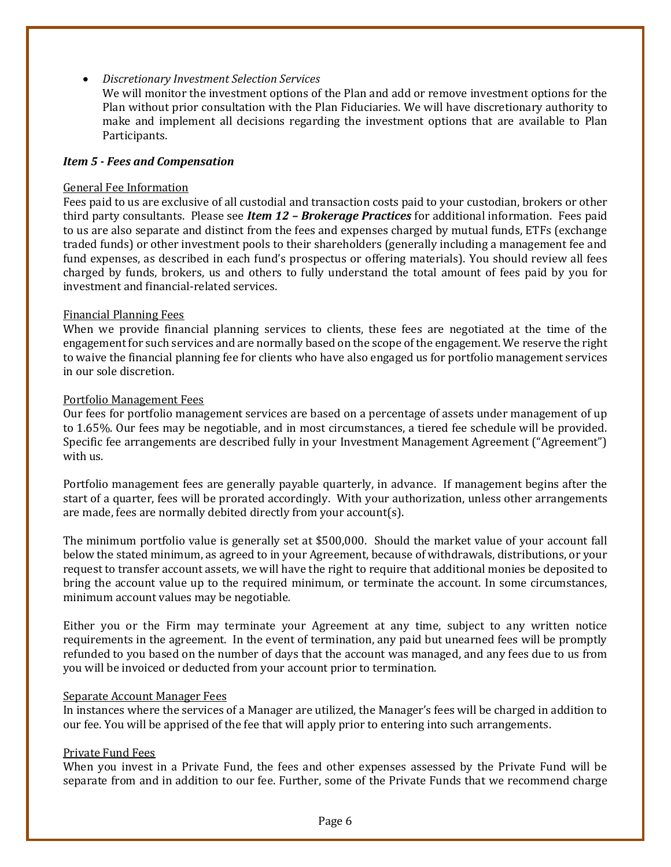#### • *Discretionary Investment Selection Services*

We will monitor the investment options of the Plan and add or remove investment options for the Plan without prior consultation with the Plan Fiduciaries. We will have discretionary authority to make and implement all decisions regarding the investment options that are available to Plan Participants.

#### <span id="page-5-0"></span>*Item 5 - Fees and Compensation*

#### General Fee Information

Fees paid to us are exclusive of all custodial and transaction costs paid to your custodian, brokers or other third party consultants. Please see *Item 12 – Brokerage Practices* for additional information. Fees paid to us are also separate and distinct from the fees and expenses charged by mutual funds, ETFs (exchange traded funds) or other investment pools to their shareholders (generally including a management fee and fund expenses, as described in each fund's prospectus or offering materials). You should review all fees charged by funds, brokers, us and others to fully understand the total amount of fees paid by you for investment and financial-related services.

#### Financial Planning Fees

When we provide financial planning services to clients, these fees are negotiated at the time of the engagement for such services and are normally based on the scope of the engagement. We reserve the right to waive the financial planning fee for clients who have also engaged us for portfolio management services in our sole discretion.

#### Portfolio Management Fees

Our fees for portfolio management services are based on a percentage of assets under management of up to 1.65%. Our fees may be negotiable, and in most circumstances, a tiered fee schedule will be provided. Specific fee arrangements are described fully in your Investment Management Agreement ("Agreement") with us.

Portfolio management fees are generally payable quarterly, in advance. If management begins after the start of a quarter, fees will be prorated accordingly. With your authorization, unless other arrangements are made, fees are normally debited directly from your account(s).

The minimum portfolio value is generally set at \$500,000. Should the market value of your account fall below the stated minimum, as agreed to in your Agreement, because of withdrawals, distributions, or your request to transfer account assets, we will have the right to require that additional monies be deposited to bring the account value up to the required minimum, or terminate the account. In some circumstances, minimum account values may be negotiable*.*

Either you or the Firm may terminate your Agreement at any time, subject to any written notice requirements in the agreement. In the event of termination, any paid but unearned fees will be promptly refunded to you based on the number of days that the account was managed, and any fees due to us from you will be invoiced or deducted from your account prior to termination.

#### Separate Account Manager Fees

In instances where the services of a Manager are utilized, the Manager's fees will be charged in addition to our fee. You will be apprised of the fee that will apply prior to entering into such arrangements.

#### Private Fund Fees

When you invest in a Private Fund, the fees and other expenses assessed by the Private Fund will be separate from and in addition to our fee. Further, some of the Private Funds that we recommend charge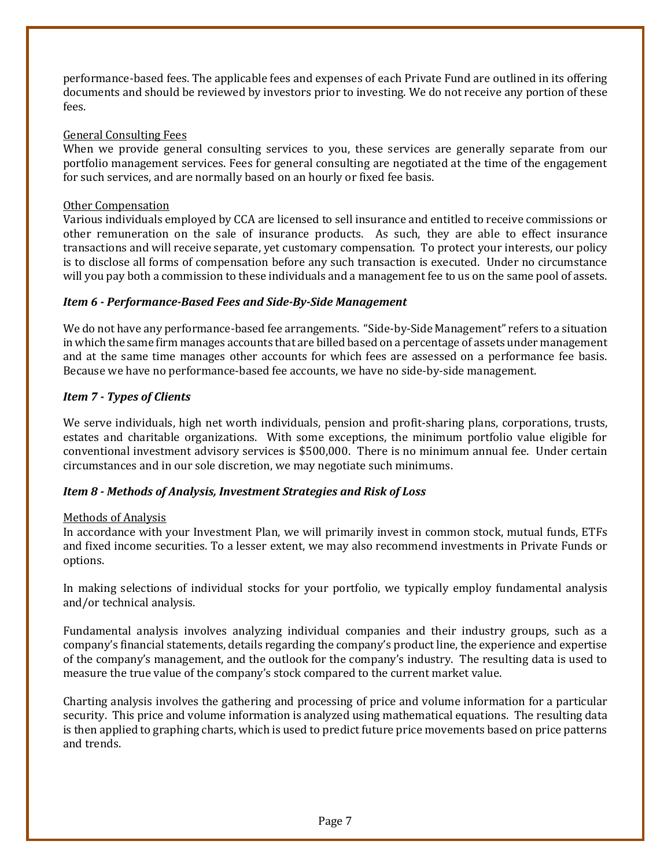performance-based fees. The applicable fees and expenses of each Private Fund are outlined in its offering documents and should be reviewed by investors prior to investing. We do not receive any portion of these fees.

# General Consulting Fees

When we provide general consulting services to you, these services are generally separate from our portfolio management services. Fees for general consulting are negotiated at the time of the engagement for such services, and are normally based on an hourly or fixed fee basis.

#### Other Compensation

Various individuals employed by CCA are licensed to sell insurance and entitled to receive commissions or other remuneration on the sale of insurance products. As such, they are able to effect insurance transactions and will receive separate, yet customary compensation. To protect your interests, our policy is to disclose all forms of compensation before any such transaction is executed. Under no circumstance will you pay both a commission to these individuals and a management fee to us on the same pool of assets.

#### <span id="page-6-0"></span>*Item 6 - Performance-Based Fees and Side-By-Side Management*

We do not have any performance-based fee arrangements. "Side-by-Side Management" refers to a situation in which the same firm manages accounts that are billed based on a percentage of assets under management and at the same time manages other accounts for which fees are assessed on a performance fee basis. Because we have no performance-based fee accounts, we have no side-by-side management.

# <span id="page-6-1"></span>*Item 7 - Types of Clients*

We serve individuals, high net worth individuals, pension and profit-sharing plans, corporations, trusts, estates and charitable organizations. With some exceptions, the minimum portfolio value eligible for conventional investment advisory services is \$500,000. There is no minimum annual fee. Under certain circumstances and in our sole discretion, we may negotiate such minimums.

# <span id="page-6-2"></span>*Item 8 - Methods of Analysis, Investment Strategies and Risk of Loss*

#### Methods of Analysis

In accordance with your Investment Plan, we will primarily invest in common stock, mutual funds, ETFs and fixed income securities. To a lesser extent, we may also recommend investments in Private Funds or options.

In making selections of individual stocks for your portfolio, we typically employ fundamental analysis and/or technical analysis.

Fundamental analysis involves analyzing individual companies and their industry groups, such as a company's financial statements, details regarding the company's product line, the experience and expertise of the company's management, and the outlook for the company's industry. The resulting data is used to measure the true value of the company's stock compared to the current market value.

Charting analysis involves the gathering and processing of price and volume information for a particular security. This price and volume information is analyzed using mathematical equations. The resulting data is then applied to graphing charts, which is used to predict future price movements based on price patterns and trends.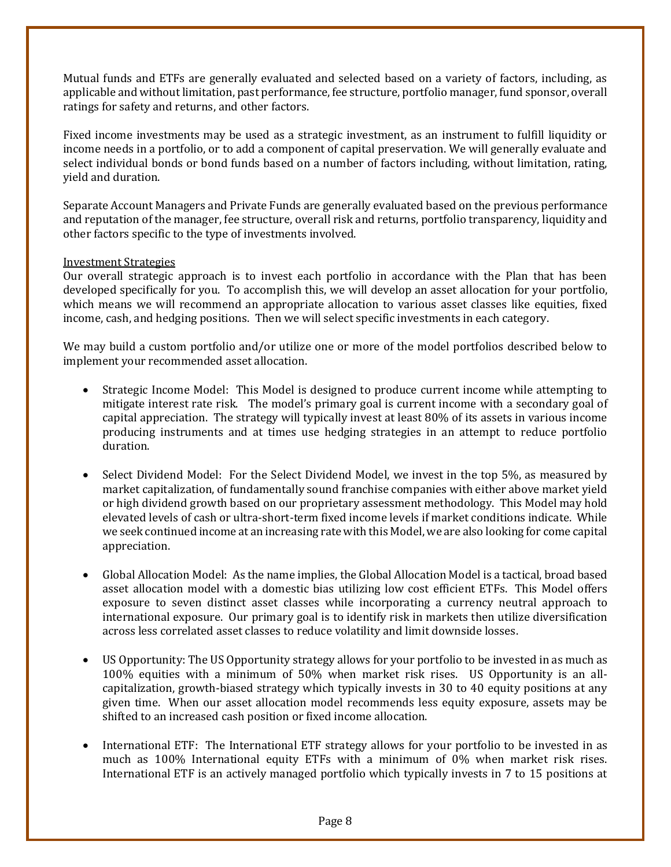Mutual funds and ETFs are generally evaluated and selected based on a variety of factors, including, as applicable and without limitation, past performance, fee structure, portfolio manager, fund sponsor, overall ratings for safety and returns, and other factors.

Fixed income investments may be used as a strategic investment, as an instrument to fulfill liquidity or income needs in a portfolio, or to add a component of capital preservation. We will generally evaluate and select individual bonds or bond funds based on a number of factors including, without limitation, rating, yield and duration.

Separate Account Managers and Private Funds are generally evaluated based on the previous performance and reputation of the manager, fee structure, overall risk and returns, portfolio transparency, liquidity and other factors specific to the type of investments involved.

#### Investment Strategies

Our overall strategic approach is to invest each portfolio in accordance with the Plan that has been developed specifically for you. To accomplish this, we will develop an asset allocation for your portfolio, which means we will recommend an appropriate allocation to various asset classes like equities, fixed income, cash, and hedging positions. Then we will select specific investments in each category.

We may build a custom portfolio and/or utilize one or more of the model portfolios described below to implement your recommended asset allocation.

- Strategic Income Model: This Model is designed to produce current income while attempting to mitigate interest rate risk. The model's primary goal is current income with a secondary goal of capital appreciation. The strategy will typically invest at least 80% of its assets in various income producing instruments and at times use hedging strategies in an attempt to reduce portfolio duration.
- Select Dividend Model: For the Select Dividend Model, we invest in the top 5%, as measured by market capitalization, of fundamentally sound franchise companies with either above market yield or high dividend growth based on our proprietary assessment methodology. This Model may hold elevated levels of cash or ultra-short-term fixed income levels if market conditions indicate. While we seek continued income at an increasing rate with this Model, we are also looking for come capital appreciation.
- Global Allocation Model: As the name implies, the Global Allocation Model is a tactical, broad based asset allocation model with a domestic bias utilizing low cost efficient ETFs. This Model offers exposure to seven distinct asset classes while incorporating a currency neutral approach to international exposure. Our primary goal is to identify risk in markets then utilize diversification across less correlated asset classes to reduce volatility and limit downside losses.
- US Opportunity: The US Opportunity strategy allows for your portfolio to be invested in as much as 100% equities with a minimum of 50% when market risk rises. US Opportunity is an allcapitalization, growth-biased strategy which typically invests in 30 to 40 equity positions at any given time. When our asset allocation model recommends less equity exposure, assets may be shifted to an increased cash position or fixed income allocation.
- International ETF: The International ETF strategy allows for your portfolio to be invested in as much as 100% International equity ETFs with a minimum of 0% when market risk rises. International ETF is an actively managed portfolio which typically invests in 7 to 15 positions at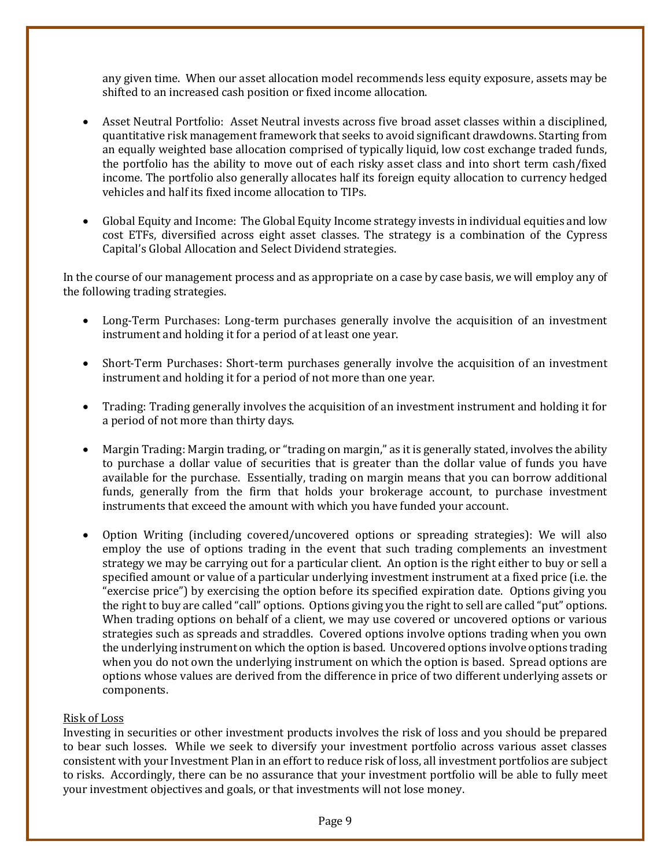any given time. When our asset allocation model recommends less equity exposure, assets may be shifted to an increased cash position or fixed income allocation.

- Asset Neutral Portfolio: Asset Neutral invests across five broad asset classes within a disciplined, quantitative risk management framework that seeks to avoid significant drawdowns. Starting from an equally weighted base allocation comprised of typically liquid, low cost exchange traded funds, the portfolio has the ability to move out of each risky asset class and into short term cash/fixed income. The portfolio also generally allocates half its foreign equity allocation to currency hedged vehicles and half its fixed income allocation to TIPs.
- Global Equity and Income: The Global Equity Income strategy invests in individual equities and low cost ETFs, diversified across eight asset classes. The strategy is a combination of the Cypress Capital's Global Allocation and Select Dividend strategies.

In the course of our management process and as appropriate on a case by case basis, we will employ any of the following trading strategies.

- Long-Term Purchases: Long-term purchases generally involve the acquisition of an investment instrument and holding it for a period of at least one year.
- Short-Term Purchases: Short-term purchases generally involve the acquisition of an investment instrument and holding it for a period of not more than one year.
- Trading: Trading generally involves the acquisition of an investment instrument and holding it for a period of not more than thirty days.
- Margin Trading: Margin trading, or "trading on margin," as it is generally stated, involves the ability to purchase a dollar value of securities that is greater than the dollar value of funds you have available for the purchase. Essentially, trading on margin means that you can borrow additional funds, generally from the firm that holds your brokerage account, to purchase investment instruments that exceed the amount with which you have funded your account.
- Option Writing (including covered/uncovered options or spreading strategies): We will also employ the use of options trading in the event that such trading complements an investment strategy we may be carrying out for a particular client. An option is the right either to buy or sell a specified amount or value of a particular underlying investment instrument at a fixed price (i.e. the "exercise price") by exercising the option before its specified expiration date. Options giving you the right to buy are called "call" options. Options giving you the right to sell are called "put" options. When trading options on behalf of a client, we may use covered or uncovered options or various strategies such as spreads and straddles. Covered options involve options trading when you own the underlying instrument on which the option is based. Uncovered options involve options trading when you do not own the underlying instrument on which the option is based. Spread options are options whose values are derived from the difference in price of two different underlying assets or components.

# Risk of Loss

Investing in securities or other investment products involves the risk of loss and you should be prepared to bear such losses. While we seek to diversify your investment portfolio across various asset classes consistent with your Investment Plan in an effort to reduce risk of loss, all investment portfolios are subject to risks. Accordingly, there can be no assurance that your investment portfolio will be able to fully meet your investment objectives and goals, or that investments will not lose money.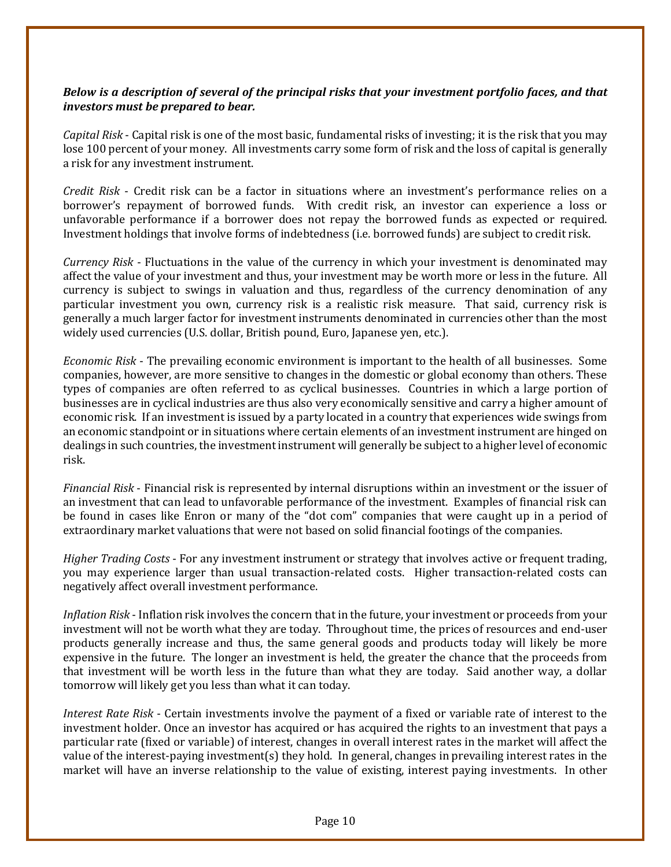# *Below is a description of several of the principal risks that your investment portfolio faces, and that investors must be prepared to bear.*

*Capital Risk* - Capital risk is one of the most basic, fundamental risks of investing; it is the risk that you may lose 100 percent of your money. All investments carry some form of risk and the loss of capital is generally a risk for any investment instrument.

*Credit Risk* - Credit risk can be a factor in situations where an investment's performance relies on a borrower's repayment of borrowed funds. With credit risk, an investor can experience a loss or unfavorable performance if a borrower does not repay the borrowed funds as expected or required. Investment holdings that involve forms of indebtedness (i.e. borrowed funds) are subject to credit risk.

*Currency Risk* - Fluctuations in the value of the currency in which your investment is denominated may affect the value of your investment and thus, your investment may be worth more or less in the future. All currency is subject to swings in valuation and thus, regardless of the currency denomination of any particular investment you own, currency risk is a realistic risk measure. That said, currency risk is generally a much larger factor for investment instruments denominated in currencies other than the most widely used currencies (U.S. dollar, British pound, Euro, Japanese yen, etc.).

*Economic Risk* - The prevailing economic environment is important to the health of all businesses. Some companies, however, are more sensitive to changes in the domestic or global economy than others. These types of companies are often referred to as cyclical businesses. Countries in which a large portion of businesses are in cyclical industries are thus also very economically sensitive and carry a higher amount of economic risk. If an investment is issued by a party located in a country that experiences wide swings from an economic standpoint or in situations where certain elements of an investment instrument are hinged on dealings in such countries, the investment instrument will generally be subject to a higher level of economic risk.

*Financial Risk* - Financial risk is represented by internal disruptions within an investment or the issuer of an investment that can lead to unfavorable performance of the investment. Examples of financial risk can be found in cases like Enron or many of the "dot com" companies that were caught up in a period of extraordinary market valuations that were not based on solid financial footings of the companies.

*Higher Trading Costs* - For any investment instrument or strategy that involves active or frequent trading, you may experience larger than usual transaction-related costs. Higher transaction-related costs can negatively affect overall investment performance.

*Inflation Risk* - Inflation risk involves the concern that in the future, your investment or proceeds from your investment will not be worth what they are today. Throughout time, the prices of resources and end-user products generally increase and thus, the same general goods and products today will likely be more expensive in the future. The longer an investment is held, the greater the chance that the proceeds from that investment will be worth less in the future than what they are today. Said another way, a dollar tomorrow will likely get you less than what it can today.

*Interest Rate Risk* - Certain investments involve the payment of a fixed or variable rate of interest to the investment holder. Once an investor has acquired or has acquired the rights to an investment that pays a particular rate (fixed or variable) of interest, changes in overall interest rates in the market will affect the value of the interest-paying investment(s) they hold. In general, changes in prevailing interest rates in the market will have an inverse relationship to the value of existing, interest paying investments. In other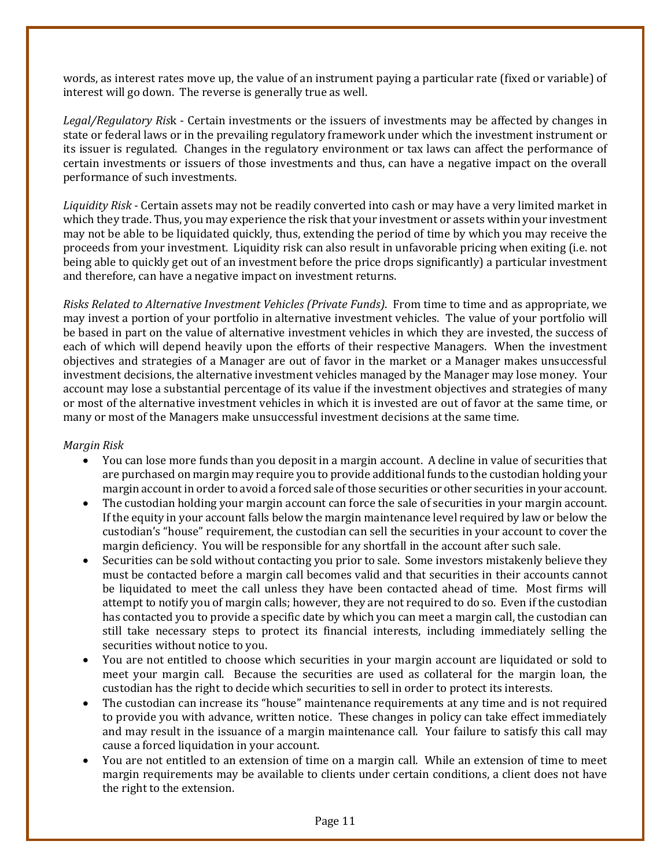words, as interest rates move up, the value of an instrument paying a particular rate (fixed or variable) of interest will go down. The reverse is generally true as well.

*Legal/Regulatory Ris*k - Certain investments or the issuers of investments may be affected by changes in state or federal laws or in the prevailing regulatory framework under which the investment instrument or its issuer is regulated. Changes in the regulatory environment or tax laws can affect the performance of certain investments or issuers of those investments and thus, can have a negative impact on the overall performance of such investments.

*Liquidity Risk* - Certain assets may not be readily converted into cash or may have a very limited market in which they trade. Thus, you may experience the risk that your investment or assets within your investment may not be able to be liquidated quickly, thus, extending the period of time by which you may receive the proceeds from your investment. Liquidity risk can also result in unfavorable pricing when exiting (i.e. not being able to quickly get out of an investment before the price drops significantly) a particular investment and therefore, can have a negative impact on investment returns.

*Risks Related to Alternative Investment Vehicles (Private Funds)*. From time to time and as appropriate, we may invest a portion of your portfolio in alternative investment vehicles. The value of your portfolio will be based in part on the value of alternative investment vehicles in which they are invested, the success of each of which will depend heavily upon the efforts of their respective Managers. When the investment objectives and strategies of a Manager are out of favor in the market or a Manager makes unsuccessful investment decisions, the alternative investment vehicles managed by the Manager may lose money. Your account may lose a substantial percentage of its value if the investment objectives and strategies of many or most of the alternative investment vehicles in which it is invested are out of favor at the same time, or many or most of the Managers make unsuccessful investment decisions at the same time.

# *Margin Risk*

- You can lose more funds than you deposit in a margin account. A decline in value of securities that are purchased on margin may require you to provide additional funds to the custodian holding your margin account in order to avoid a forced sale of those securities or other securities in your account.
- The custodian holding your margin account can force the sale of securities in your margin account. If the equity in your account falls below the margin maintenance level required by law or below the custodian's "house" requirement, the custodian can sell the securities in your account to cover the margin deficiency. You will be responsible for any shortfall in the account after such sale.
- Securities can be sold without contacting you prior to sale. Some investors mistakenly believe they must be contacted before a margin call becomes valid and that securities in their accounts cannot be liquidated to meet the call unless they have been contacted ahead of time. Most firms will attempt to notify you of margin calls; however, they are not required to do so. Even if the custodian has contacted you to provide a specific date by which you can meet a margin call, the custodian can still take necessary steps to protect its financial interests, including immediately selling the securities without notice to you.
- You are not entitled to choose which securities in your margin account are liquidated or sold to meet your margin call. Because the securities are used as collateral for the margin loan, the custodian has the right to decide which securities to sell in order to protect its interests.
- The custodian can increase its "house" maintenance requirements at any time and is not required to provide you with advance, written notice. These changes in policy can take effect immediately and may result in the issuance of a margin maintenance call. Your failure to satisfy this call may cause a forced liquidation in your account.
- You are not entitled to an extension of time on a margin call. While an extension of time to meet margin requirements may be available to clients under certain conditions, a client does not have the right to the extension.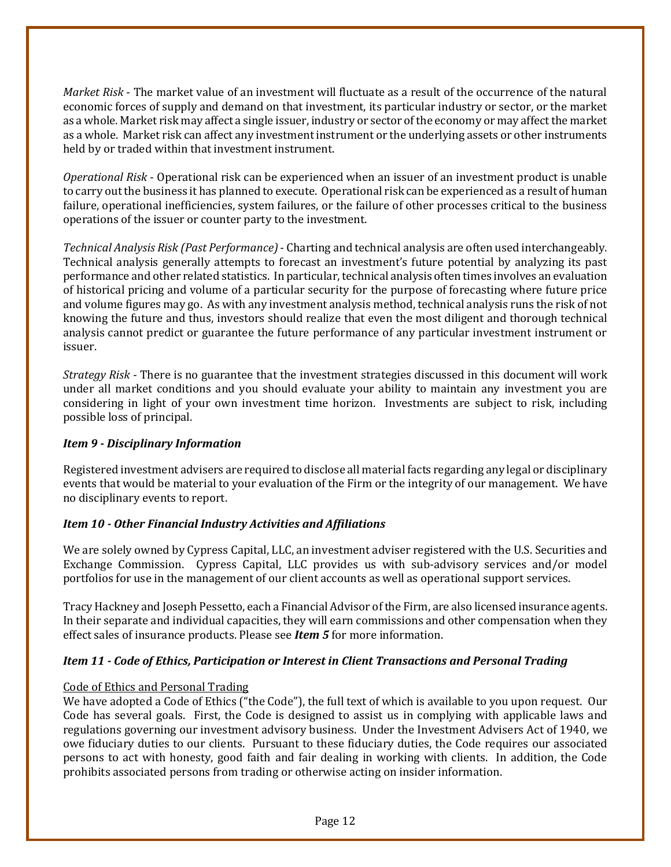*Market Risk* - The market value of an investment will fluctuate as a result of the occurrence of the natural economic forces of supply and demand on that investment, its particular industry or sector, or the market as a whole. Market risk may affect a single issuer, industry or sector of the economy or may affect the market as a whole. Market risk can affect any investment instrument or the underlying assets or other instruments held by or traded within that investment instrument.

*Operational Risk* - Operational risk can be experienced when an issuer of an investment product is unable to carry out the business it has planned to execute. Operational risk can be experienced as a result of human failure, operational inefficiencies, system failures, or the failure of other processes critical to the business operations of the issuer or counter party to the investment.

*Technical Analysis Risk (Past Performance)*- Charting and technical analysis are often used interchangeably. Technical analysis generally attempts to forecast an investment's future potential by analyzing its past performance and other related statistics. In particular, technical analysis often times involves an evaluation of historical pricing and volume of a particular security for the purpose of forecasting where future price and volume figures may go. As with any investment analysis method, technical analysis runs the risk of not knowing the future and thus, investors should realize that even the most diligent and thorough technical analysis cannot predict or guarantee the future performance of any particular investment instrument or issuer.

*Strategy Risk* - There is no guarantee that the investment strategies discussed in this document will work under all market conditions and you should evaluate your ability to maintain any investment you are considering in light of your own investment time horizon. Investments are subject to risk, including possible loss of principal.

# <span id="page-11-0"></span>*Item 9 - Disciplinary Information*

Registered investment advisers are required to disclose all material facts regarding any legal or disciplinary events that would be material to your evaluation of the Firm or the integrity of our management. We have no disciplinary events to report.

# <span id="page-11-1"></span>*Item 10 - Other Financial Industry Activities and Affiliations*

We are solely owned by Cypress Capital, LLC, an investment adviser registered with the U.S. Securities and Exchange Commission. Cypress Capital, LLC provides us with sub-advisory services and/or model portfolios for use in the management of our client accounts as well as operational support services.

Tracy Hackney and Joseph Pessetto, each a Financial Advisor of the Firm, are also licensed insurance agents. In their separate and individual capacities, they will earn commissions and other compensation when they effect sales of insurance products. Please see *Item 5* for more information.

# <span id="page-11-2"></span>*Item 11 - Code of Ethics, Participation or Interest in Client Transactions and Personal Trading*

#### Code of Ethics and Personal Trading

We have adopted a Code of Ethics ("the Code"), the full text of which is available to you upon request. Our Code has several goals. First, the Code is designed to assist us in complying with applicable laws and regulations governing our investment advisory business. Under the Investment Advisers Act of 1940, we owe fiduciary duties to our clients. Pursuant to these fiduciary duties, the Code requires our associated persons to act with honesty, good faith and fair dealing in working with clients. In addition, the Code prohibits associated persons from trading or otherwise acting on insider information.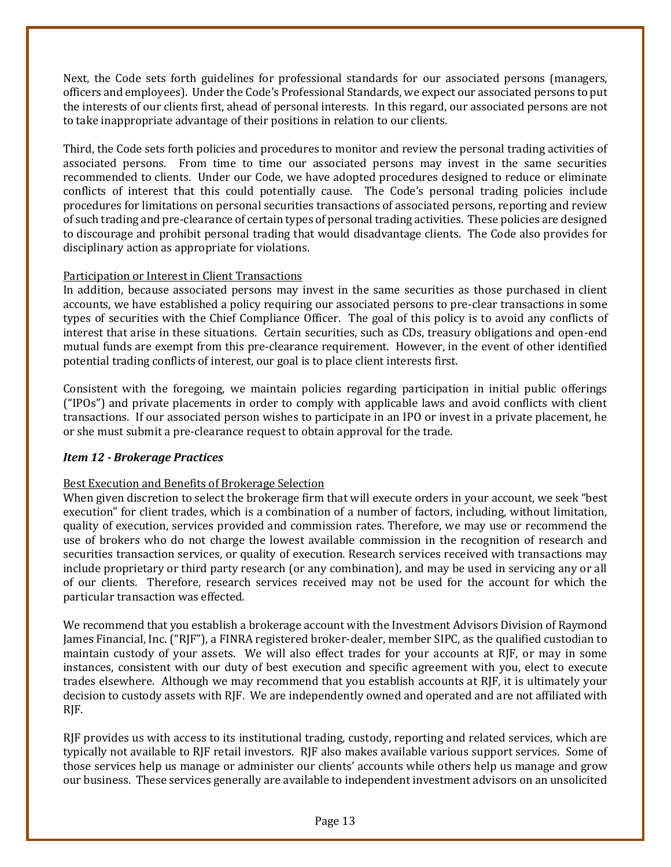Next, the Code sets forth guidelines for professional standards for our associated persons (managers, officers and employees). Under the Code's Professional Standards, we expect our associated persons to put the interests of our clients first, ahead of personal interests. In this regard, our associated persons are not to take inappropriate advantage of their positions in relation to our clients.

Third, the Code sets forth policies and procedures to monitor and review the personal trading activities of associated persons. From time to time our associated persons may invest in the same securities recommended to clients. Under our Code, we have adopted procedures designed to reduce or eliminate conflicts of interest that this could potentially cause. The Code's personal trading policies include procedures for limitations on personal securities transactions of associated persons, reporting and review of such trading and pre-clearance of certain types of personal trading activities. These policies are designed to discourage and prohibit personal trading that would disadvantage clients. The Code also provides for disciplinary action as appropriate for violations.

# Participation or Interest in Client Transactions

In addition, because associated persons may invest in the same securities as those purchased in client accounts, we have established a policy requiring our associated persons to pre-clear transactions in some types of securities with the Chief Compliance Officer. The goal of this policy is to avoid any conflicts of interest that arise in these situations. Certain securities, such as CDs, treasury obligations and open-end mutual funds are exempt from this pre-clearance requirement. However, in the event of other identified potential trading conflicts of interest, our goal is to place client interests first.

Consistent with the foregoing, we maintain policies regarding participation in initial public offerings ("IPOs") and private placements in order to comply with applicable laws and avoid conflicts with client transactions. If our associated person wishes to participate in an IPO or invest in a private placement, he or she must submit a pre-clearance request to obtain approval for the trade.

# <span id="page-12-0"></span>*Item 12 - Brokerage Practices*

#### Best Execution and Benefits of Brokerage Selection

When given discretion to select the brokerage firm that will execute orders in your account, we seek "best" execution" for client trades, which is a combination of a number of factors, including, without limitation, quality of execution, services provided and commission rates. Therefore, we may use or recommend the use of brokers who do not charge the lowest available commission in the recognition of research and securities transaction services, or quality of execution. Research services received with transactions may include proprietary or third party research (or any combination), and may be used in servicing any or all of our clients. Therefore, research services received may not be used for the account for which the particular transaction was effected.

We recommend that you establish a brokerage account with the Investment Advisors Division of Raymond James Financial, Inc. ("RJF"), a FINRA registered broker-dealer, member SIPC, as the qualified custodian to maintain custody of your assets. We will also effect trades for your accounts at RJF, or may in some instances, consistent with our duty of best execution and specific agreement with you, elect to execute trades elsewhere. Although we may recommend that you establish accounts at RJF, it is ultimately your decision to custody assets with RJF. We are independently owned and operated and are not affiliated with RJF.

RJF provides us with access to its institutional trading, custody, reporting and related services, which are typically not available to RJF retail investors. RJF also makes available various support services. Some of those services help us manage or administer our clients' accounts while others help us manage and grow our business. These services generally are available to independent investment advisors on an unsolicited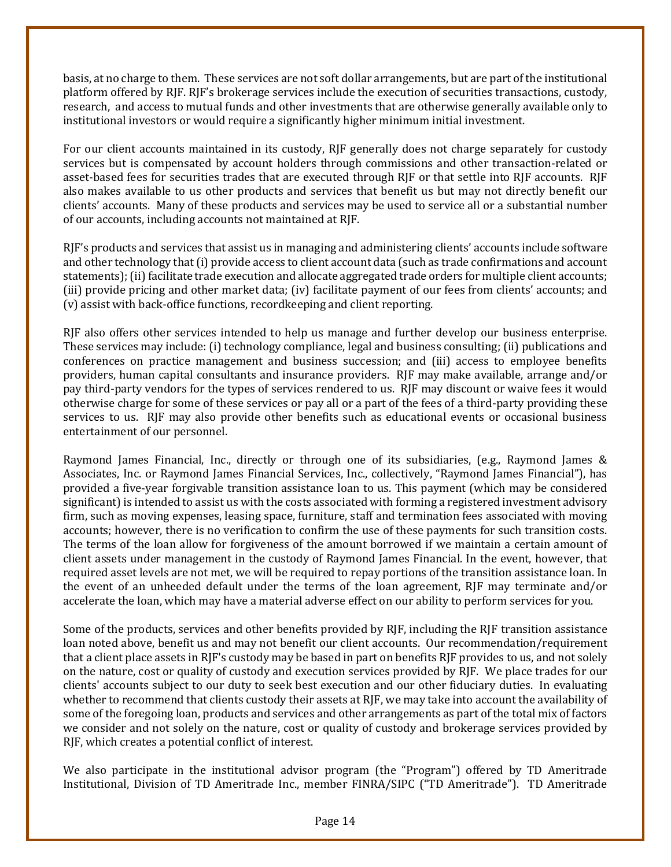basis, at no charge to them. These services are not soft dollar arrangements, but are part of the institutional platform offered by RJF. RJF's brokerage services include the execution of securities transactions, custody, research, and access to mutual funds and other investments that are otherwise generally available only to institutional investors or would require a significantly higher minimum initial investment.

For our client accounts maintained in its custody, RJF generally does not charge separately for custody services but is compensated by account holders through commissions and other transaction-related or asset-based fees for securities trades that are executed through RJF or that settle into RJF accounts. RJF also makes available to us other products and services that benefit us but may not directly benefit our clients' accounts. Many of these products and services may be used to service all or a substantial number of our accounts, including accounts not maintained at RJF.

RJF's products and services that assist us in managing and administering clients' accounts include software and other technology that (i) provide access to client account data (such as trade confirmations and account statements); (ii) facilitate trade execution and allocate aggregated trade orders for multiple client accounts; (iii) provide pricing and other market data; (iv) facilitate payment of our fees from clients' accounts; and (v) assist with back-office functions, recordkeeping and client reporting.

RJF also offers other services intended to help us manage and further develop our business enterprise. These services may include: (i) technology compliance, legal and business consulting; (ii) publications and conferences on practice management and business succession; and (iii) access to employee benefits providers, human capital consultants and insurance providers. RJF may make available, arrange and/or pay third-party vendors for the types of services rendered to us. RJF may discount or waive fees it would otherwise charge for some of these services or pay all or a part of the fees of a third-party providing these services to us. RJF may also provide other benefits such as educational events or occasional business entertainment of our personnel.

Raymond James Financial, Inc., directly or through one of its subsidiaries, (e.g., Raymond James & Associates, Inc. or Raymond James Financial Services, Inc., collectively, "Raymond James Financial"), has provided a five-year forgivable transition assistance loan to us. This payment (which may be considered significant) is intended to assist us with the costs associated with forming a registered investment advisory firm, such as moving expenses, leasing space, furniture, staff and termination fees associated with moving accounts; however, there is no verification to confirm the use of these payments for such transition costs. The terms of the loan allow for forgiveness of the amount borrowed if we maintain a certain amount of client assets under management in the custody of Raymond James Financial. In the event, however, that required asset levels are not met, we will be required to repay portions of the transition assistance loan. In the event of an unheeded default under the terms of the loan agreement, RJF may terminate and/or accelerate the loan, which may have a material adverse effect on our ability to perform services for you.

Some of the products, services and other benefits provided by RJF, including the RJF transition assistance loan noted above, benefit us and may not benefit our client accounts. Our recommendation/requirement that a client place assets in RJF's custody may be based in part on benefits RJF provides to us, and not solely on the nature, cost or quality of custody and execution services provided by RJF. We place trades for our clients' accounts subject to our duty to seek best execution and our other fiduciary duties. In evaluating whether to recommend that clients custody their assets at RJF, we may take into account the availability of some of the foregoing loan, products and services and other arrangements as part of the total mix of factors we consider and not solely on the nature, cost or quality of custody and brokerage services provided by RJF, which creates a potential conflict of interest.

We also participate in the institutional advisor program (the "Program") offered by TD Ameritrade Institutional, Division of TD Ameritrade Inc., member FINRA/SIPC ("TD Ameritrade"). TD Ameritrade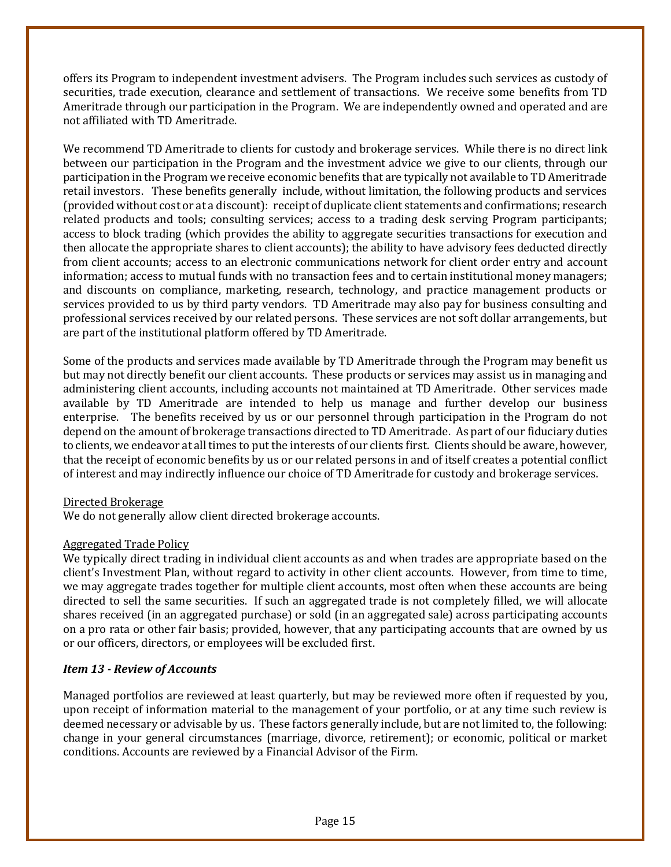offers its Program to independent investment advisers. The Program includes such services as custody of securities, trade execution, clearance and settlement of transactions. We receive some benefits from TD Ameritrade through our participation in the Program. We are independently owned and operated and are not affiliated with TD Ameritrade.

We recommend TD Ameritrade to clients for custody and brokerage services. While there is no direct link between our participation in the Program and the investment advice we give to our clients, through our participation in the Program we receive economic benefits that are typically not available to TD Ameritrade retail investors. These benefits generally include, without limitation, the following products and services (provided without cost or at a discount): receipt of duplicate client statements and confirmations; research related products and tools; consulting services; access to a trading desk serving Program participants; access to block trading (which provides the ability to aggregate securities transactions for execution and then allocate the appropriate shares to client accounts); the ability to have advisory fees deducted directly from client accounts; access to an electronic communications network for client order entry and account information; access to mutual funds with no transaction fees and to certain institutional money managers; and discounts on compliance, marketing, research, technology, and practice management products or services provided to us by third party vendors. TD Ameritrade may also pay for business consulting and professional services received by our related persons. These services are not soft dollar arrangements, but are part of the institutional platform offered by TD Ameritrade.

Some of the products and services made available by TD Ameritrade through the Program may benefit us but may not directly benefit our client accounts. These products or services may assist us in managing and administering client accounts, including accounts not maintained at TD Ameritrade. Other services made available by TD Ameritrade are intended to help us manage and further develop our business enterprise. The benefits received by us or our personnel through participation in the Program do not depend on the amount of brokerage transactions directed to TD Ameritrade. As part of our fiduciary duties to clients, we endeavor at all times to put the interests of our clients first. Clients should be aware, however, that the receipt of economic benefits by us or our related persons in and of itself creates a potential conflict of interest and may indirectly influence our choice of TD Ameritrade for custody and brokerage services.

# Directed Brokerage

We do not generally allow client directed brokerage accounts.

# Aggregated Trade Policy

We typically direct trading in individual client accounts as and when trades are appropriate based on the client's Investment Plan, without regard to activity in other client accounts. However, from time to time, we may aggregate trades together for multiple client accounts, most often when these accounts are being directed to sell the same securities. If such an aggregated trade is not completely filled, we will allocate shares received (in an aggregated purchase) or sold (in an aggregated sale) across participating accounts on a pro rata or other fair basis; provided, however, that any participating accounts that are owned by us or our officers, directors, or employees will be excluded first.

# <span id="page-14-0"></span>*Item 13 - Review of Accounts*

Managed portfolios are reviewed at least quarterly, but may be reviewed more often if requested by you, upon receipt of information material to the management of your portfolio, or at any time such review is deemed necessary or advisable by us. These factors generally include, but are not limited to, the following: change in your general circumstances (marriage, divorce, retirement); or economic, political or market conditions. Accounts are reviewed by a Financial Advisor of the Firm.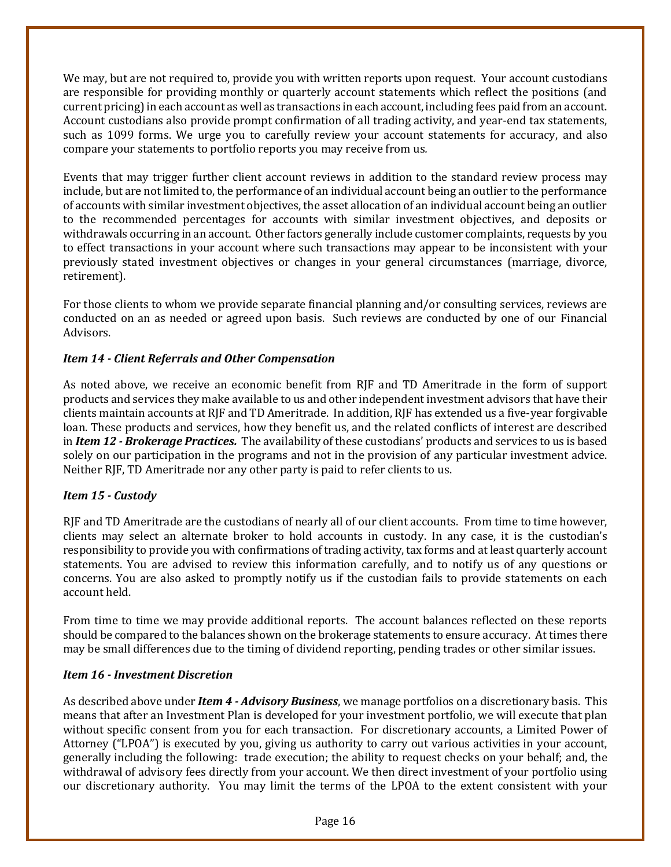We may, but are not required to, provide you with written reports upon request. Your account custodians are responsible for providing monthly or quarterly account statements which reflect the positions (and current pricing) in each account as well as transactions in each account, including fees paid from an account. Account custodians also provide prompt confirmation of all trading activity, and year-end tax statements, such as 1099 forms. We urge you to carefully review your account statements for accuracy, and also compare your statements to portfolio reports you may receive from us*.*

Events that may trigger further client account reviews in addition to the standard review process may include, but are not limited to, the performance of an individual account being an outlier to the performance of accounts with similar investment objectives, the asset allocation of an individual account being an outlier to the recommended percentages for accounts with similar investment objectives, and deposits or withdrawals occurring in an account. Other factors generally include customer complaints, requests by you to effect transactions in your account where such transactions may appear to be inconsistent with your previously stated investment objectives or changes in your general circumstances (marriage, divorce, retirement).

For those clients to whom we provide separate financial planning and/or consulting services, reviews are conducted on an as needed or agreed upon basis. Such reviews are conducted by one of our Financial Advisors.

# <span id="page-15-0"></span>*Item 14 - Client Referrals and Other Compensation*

As noted above, we receive an economic benefit from RJF and TD Ameritrade in the form of support products and services they make available to us and other independent investment advisors that have their clients maintain accounts at RJF and TD Ameritrade. In addition, RJF has extended us a five-year forgivable loan. These products and services, how they benefit us, and the related conflicts of interest are described in *Item 12 - Brokerage Practices.* The availability of these custodians' products and services to us is based solely on our participation in the programs and not in the provision of any particular investment advice. Neither RJF, TD Ameritrade nor any other party is paid to refer clients to us.

# <span id="page-15-1"></span>*Item 15 - Custody*

RJF and TD Ameritrade are the custodians of nearly all of our client accounts. From time to time however, clients may select an alternate broker to hold accounts in custody. In any case, it is the custodian's responsibility to provide you with confirmations of trading activity, tax forms and at least quarterly account statements. You are advised to review this information carefully, and to notify us of any questions or concerns. You are also asked to promptly notify us if the custodian fails to provide statements on each account held.

From time to time we may provide additional reports. The account balances reflected on these reports should be compared to the balances shown on the brokerage statements to ensure accuracy. At times there may be small differences due to the timing of dividend reporting, pending trades or other similar issues.

#### <span id="page-15-2"></span>*Item 16 - Investment Discretion*

As described above under *Item 4 - Advisory Business*, we manage portfolios on a discretionary basis. This means that after an Investment Plan is developed for your investment portfolio, we will execute that plan without specific consent from you for each transaction. For discretionary accounts, a Limited Power of Attorney ("LPOA") is executed by you, giving us authority to carry out various activities in your account, generally including the following: trade execution; the ability to request checks on your behalf; and, the withdrawal of advisory fees directly from your account. We then direct investment of your portfolio using our discretionary authority. You may limit the terms of the LPOA to the extent consistent with your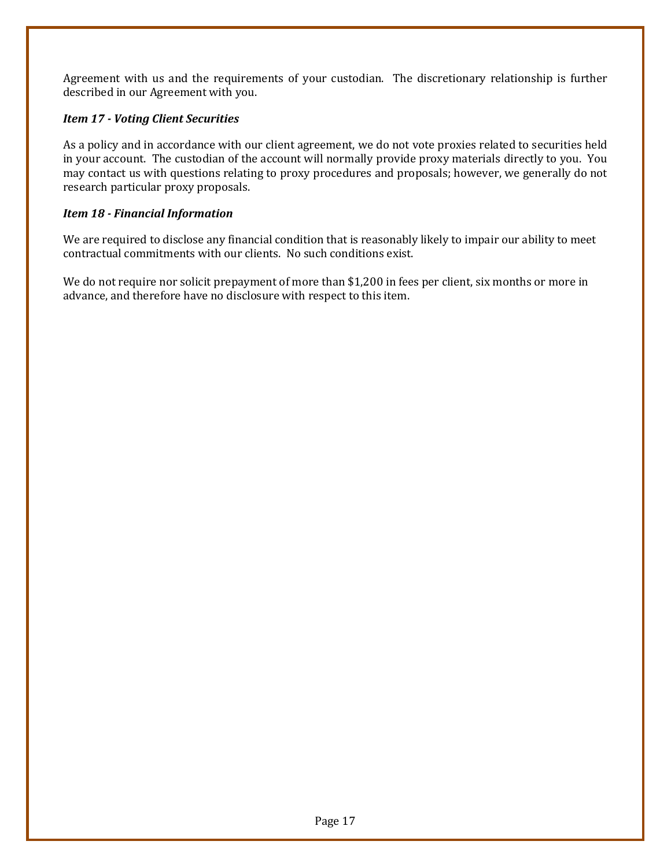Agreement with us and the requirements of your custodian. The discretionary relationship is further described in our Agreement with you.

# <span id="page-16-0"></span>*Item 17 - Voting Client Securities*

As a policy and in accordance with our client agreement, we do not vote proxies related to securities held in your account. The custodian of the account will normally provide proxy materials directly to you. You may contact us with questions relating to proxy procedures and proposals; however, we generally do not research particular proxy proposals.

# <span id="page-16-1"></span>*Item 18 - Financial Information*

We are required to disclose any financial condition that is reasonably likely to impair our ability to meet contractual commitments with our clients. No such conditions exist.

We do not require nor solicit prepayment of more than \$1,200 in fees per client, six months or more in advance, and therefore have no disclosure with respect to this item.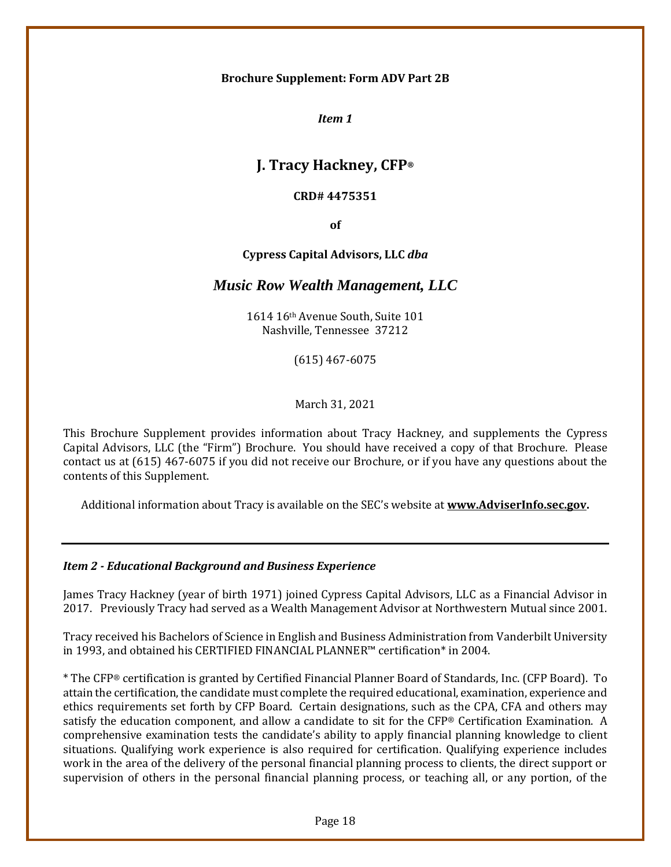#### <span id="page-17-0"></span>**Brochure Supplement: Form ADV Part 2B**

*Item 1*

# **J. Tracy Hackney, CFP®**

#### **CRD# 4475351**

**of**

#### **Cypress Capital Advisors, LLC** *dba*

# *Music Row Wealth Management, LLC*

1614 16th Avenue South, Suite 101 Nashville, Tennessee 37212

(615) 467-6075

March 31, 2021

This Brochure Supplement provides information about Tracy Hackney, and supplements the Cypress Capital Advisors, LLC (the "Firm") Brochure. You should have received a copy of that Brochure. Please contact us at (615) 467-6075 if you did not receive our Brochure, or if you have any questions about the contents of this Supplement.

Additional information about Tracy is available on the SEC's website at **www.AdviserInfo.sec.gov.**

#### *Item 2 - Educational Background and Business Experience*

James Tracy Hackney (year of birth 1971) joined Cypress Capital Advisors, LLC as a Financial Advisor in 2017. Previously Tracy had served as a Wealth Management Advisor at Northwestern Mutual since 2001.

Tracy received his Bachelors of Science in English and Business Administration from Vanderbilt University in 1993, and obtained his CERTIFIED FINANCIAL PLANNER™ certification\* in 2004.

\* The CFP® certification is granted by Certified Financial Planner Board of Standards, Inc. (CFP Board). To attain the certification, the candidate must complete the required educational, examination, experience and ethics requirements set forth by CFP Board. Certain designations, such as the CPA, CFA and others may satisfy the education component, and allow a candidate to sit for the CFP® Certification Examination. A comprehensive examination tests the candidate's ability to apply financial planning knowledge to client situations. Qualifying work experience is also required for certification. Qualifying experience includes work in the area of the delivery of the personal financial planning process to clients, the direct support or supervision of others in the personal financial planning process, or teaching all, or any portion, of the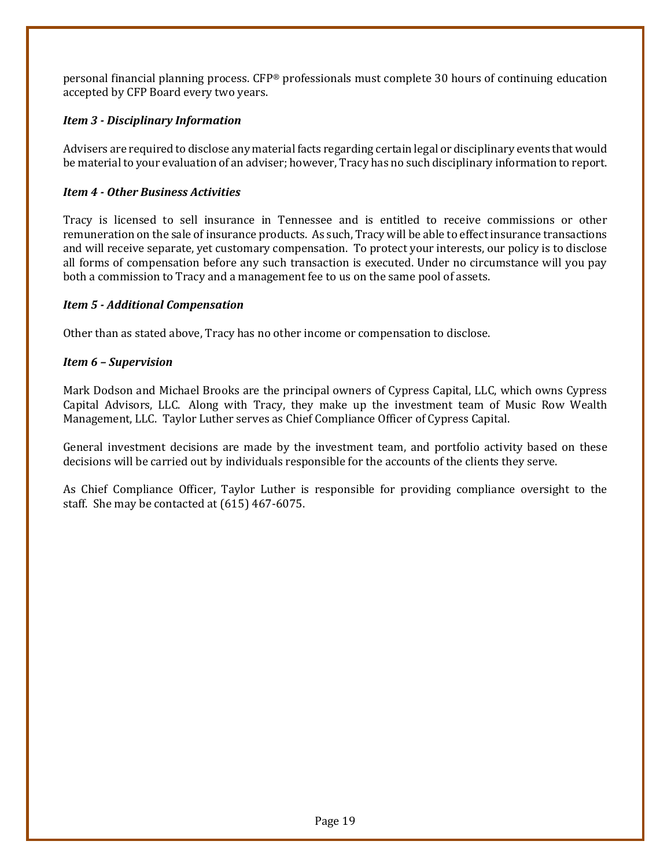personal financial planning process. CFP® professionals must complete 30 hours of continuing education accepted by CFP Board every two years.

# *Item 3 - Disciplinary Information*

Advisers are required to disclose any material facts regarding certain legal or disciplinary events that would be material to your evaluation of an adviser; however, Tracy has no such disciplinary information to report.

# *Item 4 - Other Business Activities*

Tracy is licensed to sell insurance in Tennessee and is entitled to receive commissions or other remuneration on the sale of insurance products. As such, Tracy will be able to effect insurance transactions and will receive separate, yet customary compensation. To protect your interests, our policy is to disclose all forms of compensation before any such transaction is executed. Under no circumstance will you pay both a commission to Tracy and a management fee to us on the same pool of assets.

# *Item 5 - Additional Compensation*

Other than as stated above, Tracy has no other income or compensation to disclose.

# *Item 6 – Supervision*

Mark Dodson and Michael Brooks are the principal owners of Cypress Capital, LLC, which owns Cypress Capital Advisors, LLC. Along with Tracy, they make up the investment team of Music Row Wealth Management, LLC. Taylor Luther serves as Chief Compliance Officer of Cypress Capital.

General investment decisions are made by the investment team, and portfolio activity based on these decisions will be carried out by individuals responsible for the accounts of the clients they serve.

As Chief Compliance Officer, Taylor Luther is responsible for providing compliance oversight to the staff. She may be contacted at (615) 467-6075.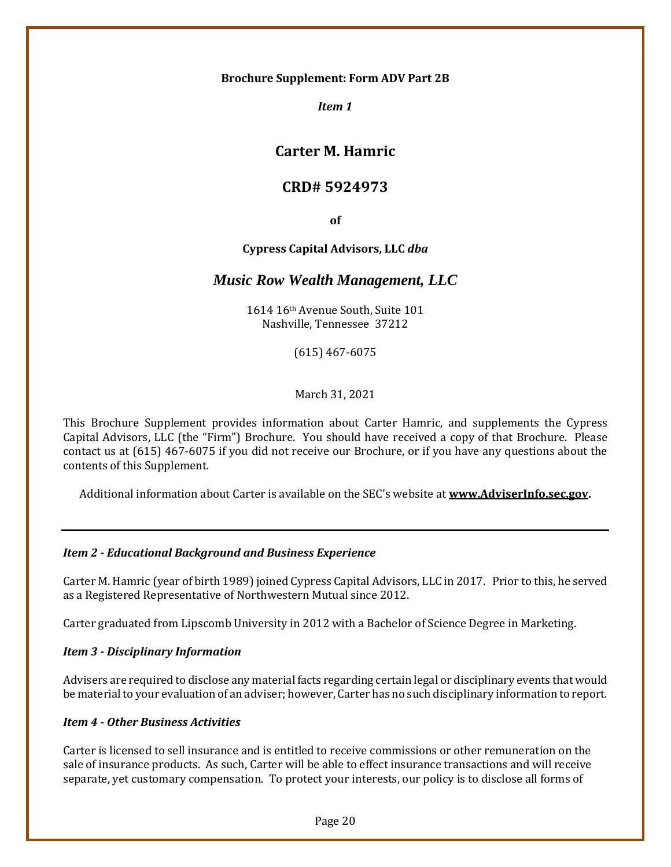#### **Brochure Supplement: Form ADV Part 2B**

*Item 1* 

# **Carter M. Hamric**

# **CRD# 5924973**

**of**

# **Cypress Capital Advisors, LLC** *dba*

# *Music Row Wealth Management, LLC*

1614 16th Avenue South, Suite 101 Nashville, Tennessee 37212

(615) 467-6075

March 31, 2021

This Brochure Supplement provides information about Carter Hamric, and supplements the Cypress Capital Advisors, LLC (the "Firm") Brochure. You should have received a copy of that Brochure. Please contact us at (615) 467-6075 if you did not receive our Brochure, or if you have any questions about the contents of this Supplement.

Additional information about Carter is available on the SEC's website at **www.AdviserInfo.sec.gov.**

# *Item 2 - Educational Background and Business Experience*

Carter M. Hamric (year of birth 1989) joined Cypress Capital Advisors, LLC in 2017. Prior to this, he served as a Registered Representative of Northwestern Mutual since 2012.

Carter graduated from Lipscomb University in 2012 with a Bachelor of Science Degree in Marketing.

# *Item 3 - Disciplinary Information*

Advisers are required to disclose any material facts regarding certain legal or disciplinary events that would be material to your evaluation of an adviser; however, Carter has no such disciplinary information to report.

# *Item 4 - Other Business Activities*

Carter is licensed to sell insurance and is entitled to receive commissions or other remuneration on the sale of insurance products. As such, Carter will be able to effect insurance transactions and will receive separate, yet customary compensation. To protect your interests, our policy is to disclose all forms of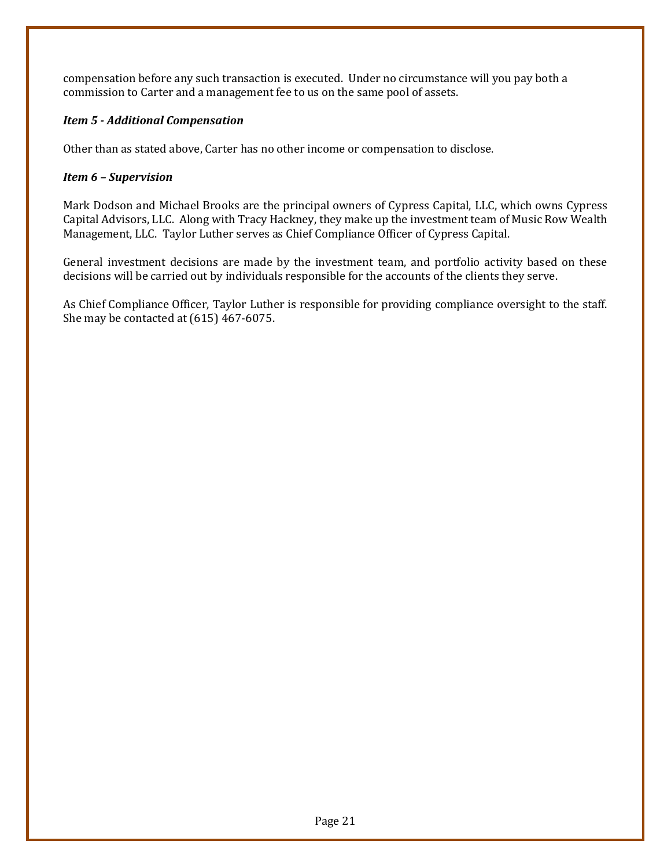compensation before any such transaction is executed. Under no circumstance will you pay both a commission to Carter and a management fee to us on the same pool of assets.

# *Item 5 - Additional Compensation*

Other than as stated above, Carter has no other income or compensation to disclose.

# *Item 6 – Supervision*

Mark Dodson and Michael Brooks are the principal owners of Cypress Capital, LLC, which owns Cypress Capital Advisors, LLC. Along with Tracy Hackney, they make up the investment team of Music Row Wealth Management, LLC. Taylor Luther serves as Chief Compliance Officer of Cypress Capital.

General investment decisions are made by the investment team, and portfolio activity based on these decisions will be carried out by individuals responsible for the accounts of the clients they serve.

As Chief Compliance Officer, Taylor Luther is responsible for providing compliance oversight to the staff. She may be contacted at (615) 467-6075.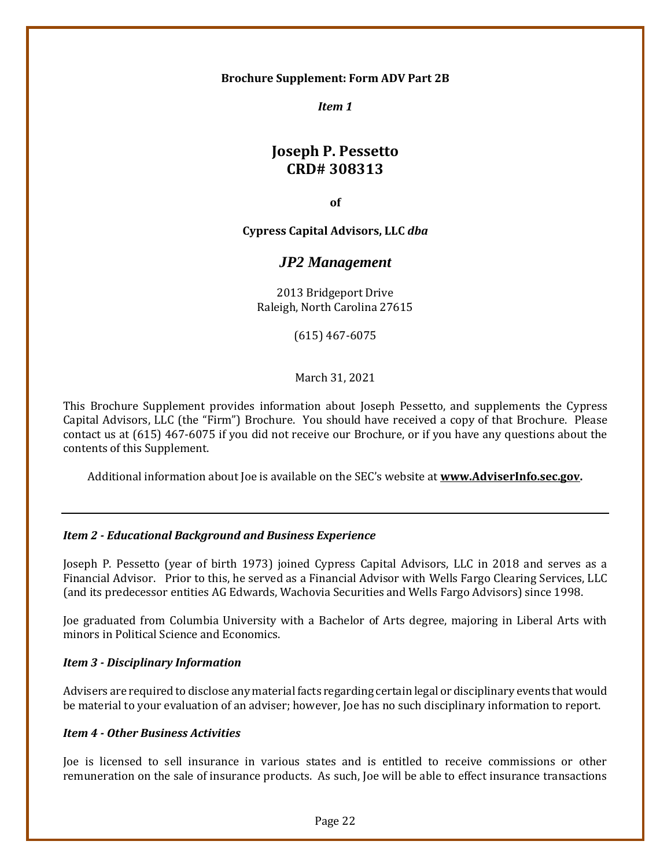#### **Brochure Supplement: Form ADV Part 2B**

*Item 1*

# **Joseph P. Pessetto CRD# 308313**

**of**

**Cypress Capital Advisors, LLC** *dba*

# *JP2 Management*

2013 Bridgeport Drive Raleigh, North Carolina 27615

(615) 467-6075

March 31, 2021

This Brochure Supplement provides information about Joseph Pessetto, and supplements the Cypress Capital Advisors, LLC (the "Firm") Brochure. You should have received a copy of that Brochure. Please contact us at (615) 467-6075 if you did not receive our Brochure, or if you have any questions about the contents of this Supplement.

Additional information about Joe is available on the SEC's website at **www.AdviserInfo.sec.gov.**

#### *Item 2 - Educational Background and Business Experience*

Joseph P. Pessetto (year of birth 1973) joined Cypress Capital Advisors, LLC in 2018 and serves as a Financial Advisor. Prior to this, he served as a Financial Advisor with Wells Fargo Clearing Services, LLC (and its predecessor entities AG Edwards, Wachovia Securities and Wells Fargo Advisors) since 1998.

Joe graduated from Columbia University with a Bachelor of Arts degree, majoring in Liberal Arts with minors in Political Science and Economics.

#### *Item 3 - Disciplinary Information*

Advisers are required to disclose any material facts regarding certain legal or disciplinary events that would be material to your evaluation of an adviser; however, Joe has no such disciplinary information to report.

#### *Item 4 - Other Business Activities*

Joe is licensed to sell insurance in various states and is entitled to receive commissions or other remuneration on the sale of insurance products. As such, Joe will be able to effect insurance transactions